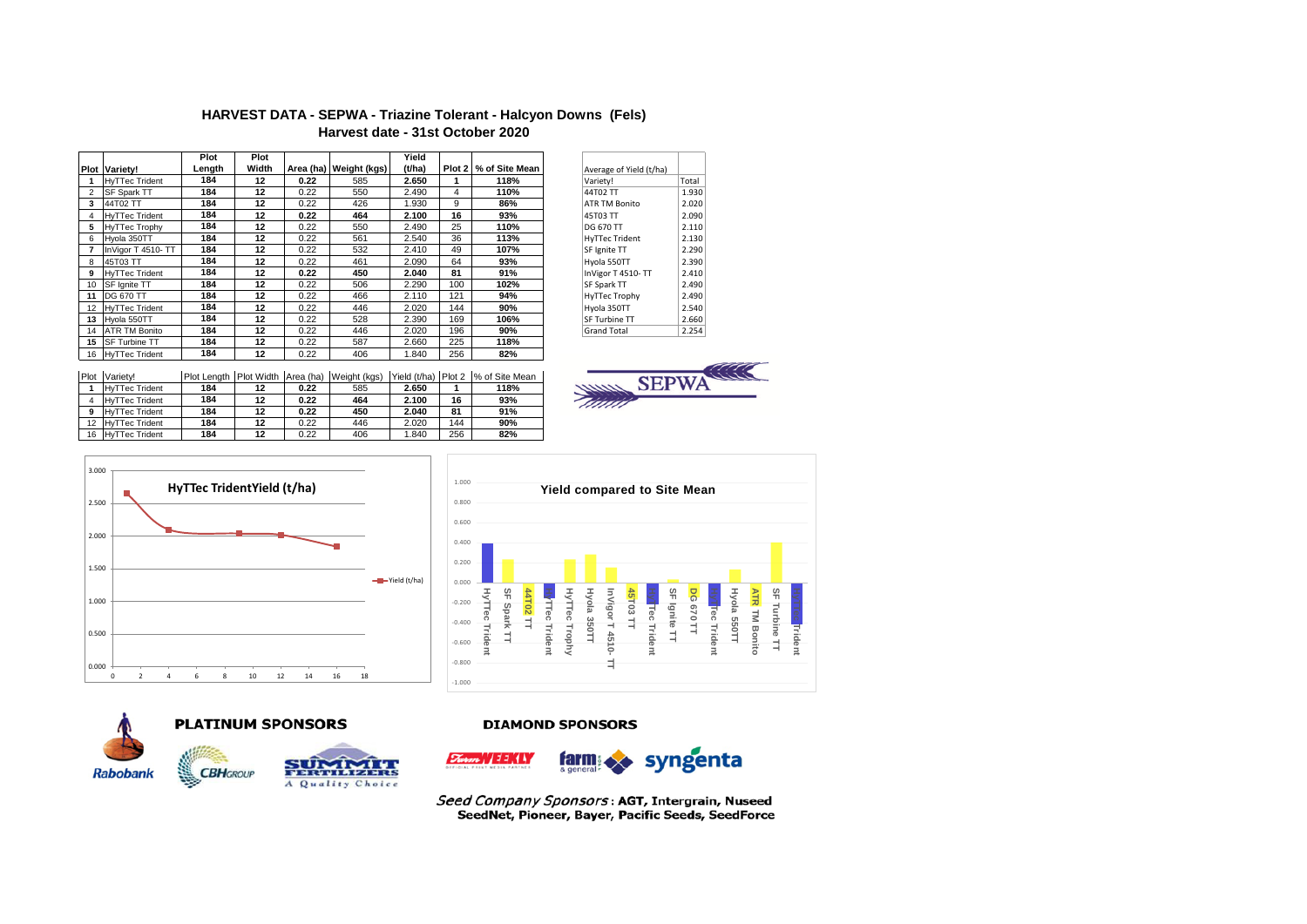# **HARVEST DATA - SEPWA - Triazine Tolerant - Halcyon Downs (Fels) Harvest date - 31st October 2020**

|    |                       | Plot   | Plot  |      |                        | Yield  |     |                       |                         |       |
|----|-----------------------|--------|-------|------|------------------------|--------|-----|-----------------------|-------------------------|-------|
|    | Plot Variety!         | Length | Width |      | Area (ha) Weight (kgs) | (t/ha) |     | Plot 2 % of Site Mean | Average of Yield (t/ha) |       |
|    | <b>HvTTec Trident</b> | 184    | 12    | 0.22 | 585                    | 2.650  |     | 118%                  | Variety!                | Total |
|    | <b>SF Spark TT</b>    | 184    | 12    | 0.22 | 550                    | 2.490  | 4   | 110%                  | 44T02 TT                | 1.930 |
| 3  | 44T02 TT              | 184    | 12    | 0.22 | 426                    | 1.930  | 9   | 86%                   | <b>ATR TM Bonito</b>    | 2.020 |
|    | <b>HvTTec Trident</b> | 184    | 12    | 0.22 | 464                    | 2.100  | 16  | 93%                   | 45T03 TT                | 2.090 |
| 5  | <b>HyTTec Trophy</b>  | 184    | 12    | 0.22 | 550                    | 2.490  | 25  | 110%                  | <b>DG 670 TT</b>        | 2.110 |
| 6  | Hvola 350TT           | 184    | 12    | 0.22 | 561                    | 2.540  | 36  | 113%                  | <b>HyTTec Trident</b>   | 2.130 |
|    | InVigor T 4510- TT    | 184    | 12    | 0.22 | 532                    | 2.410  | 49  | 107%                  | SF Ignite TT            | 2.290 |
| 8  | 45T03 TT              | 184    | 12    | 0.22 | 461                    | 2.090  | 64  | 93%                   | Hyola 550TT             | 2.390 |
| 9  | <b>HyTTec Trident</b> | 184    | 12    | 0.22 | 450                    | 2.040  | 81  | 91%                   | InVigor T 4510-TT       | 2.410 |
| 10 | SF Ignite TT          | 184    | 12    | 0.22 | 506                    | 2.290  | 100 | 102%                  | SF Spark TT             | 2.490 |
| 11 | <b>DG 670 TT</b>      | 184    | 12    | 0.22 | 466                    | 2.110  | 121 | 94%                   | HyTTec Trophy           | 2.490 |
|    | 12 HyTTec Trident     | 184    | 12    | 0.22 | 446                    | 2.020  | 144 | 90%                   | Hyola 350TT             | 2.540 |
| 13 | Hyola 550TT           | 184    | 12    | 0.22 | 528                    | 2.390  | 169 | 106%                  | SF Turbine TT           | 2.660 |
| 14 | <b>ATR TM Bonito</b>  | 184    | 12    | 0.22 | 446                    | 2.020  | 196 | 90%                   | <b>Grand Total</b>      | 2.254 |
| 15 | <b>SF Turbine TT</b>  | 184    | 12    | 0.22 | 587                    | 2.660  | 225 | 118%                  |                         |       |
| 16 | <b>HyTTec Trident</b> | 184    | 12    | 0.22 | 406                    | 1.840  | 256 | 82%                   |                         |       |

| Average of Yield (t/ha) |       |
|-------------------------|-------|
| Variety!                | Total |
| 44T02 TT                | 1.930 |
| <b>ATR TM Bonito</b>    | 2.020 |
| 45T03 TT                | 2.090 |
| DG 670 TT               | 2.110 |
| <b>HyTTec Trident</b>   | 2.130 |
| SF Ignite TT            | 2.290 |
| Hyola 550TT             | 2.390 |
| InVigor T 4510-TT       | 2.410 |
| SF Spark TT             | 2.490 |
| <b>HyTTec Trophy</b>    | 2.490 |
| Hyola 350TT             | 2.540 |
| SF Turbine TT           | 2.660 |
| <b>Grand Total</b>      | 2.254 |
|                         |       |

| Plot | Variety!              |     |    |      | Plot Length Plot Width Area (ha) Weight (kgs) |       |     | Yield (t/ha) Plot 2 % of Site Mean |
|------|-----------------------|-----|----|------|-----------------------------------------------|-------|-----|------------------------------------|
|      | <b>HyTTec Trident</b> | 184 | 12 | 0.22 | 585                                           | 2.650 |     | 118%                               |
|      | <b>HyTTec Trident</b> | 184 | 12 | 0.22 | 464                                           | 2.100 | 16  | 93%                                |
| 9    | <b>HyTTec Trident</b> | 184 | 12 | 0.22 | 450                                           | 2.040 | 81  | 91%                                |
| 12   | <b>HyTTec Trident</b> | 184 | 12 | 0.22 | 446                                           | 2.020 | 144 | 90%                                |
| 16   | <b>HyTTec Trident</b> | 184 | 12 | 0.22 | 406                                           | 1.840 | 256 | 82%                                |











A Quality Choice

## **DIAMOND SPONSORS**



Seed Company Sponsors: AGT, Intergrain, Nuseed SeedNet, Pioneer, Bayer, Pacific Seeds, SeedForce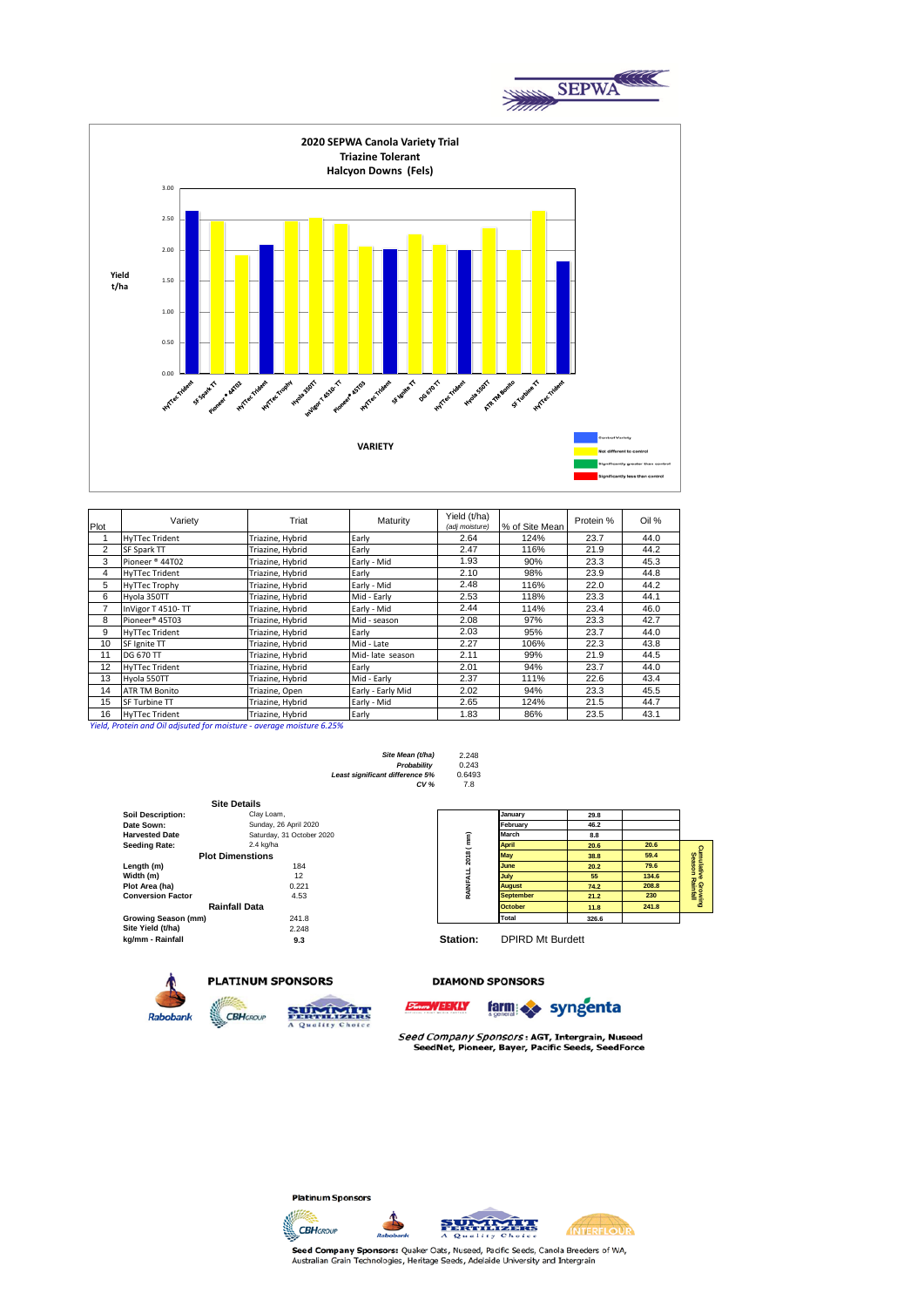

| Plot | Variety                    | Triat            | Maturity          | Yield (t/ha)<br>(adj moisture) | % of Site Mean | Protein % | Oil % |
|------|----------------------------|------------------|-------------------|--------------------------------|----------------|-----------|-------|
|      | <b>HyTTec Trident</b>      | Triazine, Hybrid | Early             | 2.64                           | 124%           | 23.7      | 44.0  |
| 2    | <b>SF Spark TT</b>         | Triazine, Hybrid | Early             | 2.47                           | 116%           | 21.9      | 44.2  |
| 3    | Pioneer <sup>®</sup> 44T02 | Triazine, Hybrid | Early - Mid       | 1.93                           | 90%            | 23.3      | 45.3  |
| 4    | <b>HyTTec Trident</b>      | Triazine, Hybrid | Early             | 2.10                           | 98%            | 23.9      | 44.8  |
| 5    | <b>HyTTec Trophy</b>       | Triazine, Hybrid | Early - Mid       | 2.48                           | 116%           | 22.0      | 44.2  |
| 6    | Hyola 350TT                | Triazine, Hybrid | Mid - Early       | 2.53                           | 118%           | 23.3      | 44.1  |
| 7    | InVigor T 4510-TT          | Triazine, Hybrid | Early - Mid       | 2.44                           | 114%           | 23.4      | 46.0  |
| 8    | Pioneer <sup>®</sup> 45T03 | Triazine, Hybrid | Mid - season      | 2.08                           | 97%            | 23.3      | 42.7  |
| 9    | <b>HyTTec Trident</b>      | Triazine, Hybrid | Early             | 2.03                           | 95%            | 23.7      | 44.0  |
| 10   | SF Ignite TT               | Triazine, Hybrid | Mid - Late        | 2.27                           | 106%           | 22.3      | 43.8  |
| 11   | <b>DG 670 TT</b>           | Triazine, Hybrid | Mid-late season   | 2.11                           | 99%            | 21.9      | 44.5  |
| 12   | <b>HyTTec Trident</b>      | Triazine, Hybrid | Early             | 2.01                           | 94%            | 23.7      | 44.0  |
| 13   | Hyola 550TT                | Triazine, Hybrid | Mid - Early       | 2.37                           | 111%           | 22.6      | 43.4  |
| 14   | <b>ATR TM Bonito</b>       | Triazine, Open   | Early - Early Mid | 2.02                           | 94%            | 23.3      | 45.5  |
| 15   | <b>SF Turbine TT</b>       | Triazine, Hybrid | Early - Mid       | 2.65                           | 124%           | 21.5      | 44.7  |
| 16   | <b>HyTTec Trident</b>      | Triazine. Hybrid | Early             | 1.83                           | 86%            | 23.5      | 43.1  |

*Yield, Protein and Oil adjsuted for moisture - average moisture 6.25%*

**Site Mean (t/ha)** 2.248 Least significant difference 5% 0.649<br>CV % 7.8  $CV %$ 

*Probability* 0.243

**Soil Description:** Clay Loam,<br> **Date Sown:** Sunday, 26 **Date Sown: Calcular Sunday, 26 April 2020<br>
<b>Farvested Date February Saturday**, 31 October: Saturday, 31 October 2020<br>2.4 kg/ha  $S$ eeding Rate: **Length (m)** 184 **June 20.2 79.6 Width (m)** 12 **July 55 134.6 Plot Area (ha)** 0.221 **August 74.2 208.8 Conversion Factor** 4.53 **September 21.2 230 Growing Season (mm)** 241.8<br>**Site Yield (t/ha)** 2.248 **Site Yield (t/ha)** 2.248<br> **kg/mm - Rainfall** 9.3 **Plot Dimenstions Rainfall Data Site Details**

**CBH**GROUP

| 2018 (mm)<br>RAINFALL | January          | 29.8  |       |                                       |
|-----------------------|------------------|-------|-------|---------------------------------------|
|                       | February         | 46.2  |       |                                       |
|                       | March            | 8.8   |       |                                       |
|                       | <b>April</b>     | 20.6  | 20.6  |                                       |
|                       | May              | 38.8  | 59.4  | Cumulative Growing<br>Season Rainfall |
|                       | June             | 20.2  | 79.6  |                                       |
|                       | July             | 55    | 134.6 |                                       |
|                       | <b>August</b>    | 74.2  | 208.8 |                                       |
|                       | <b>September</b> | 21.2  | 230   |                                       |
|                       | <b>October</b>   | 11.8  | 241.8 |                                       |
|                       | Total            | 326.6 |       |                                       |

**Station: DPIRD Mt Burdett** 



### **PLATINUM SPONSORS**



#### **DIAMOND SPONSORS**



Seed Company Sponsors: AGT, Intergrain, Nuseed SeedNet, Pioneer, Bayer, Pacific Seeds, SeedForce